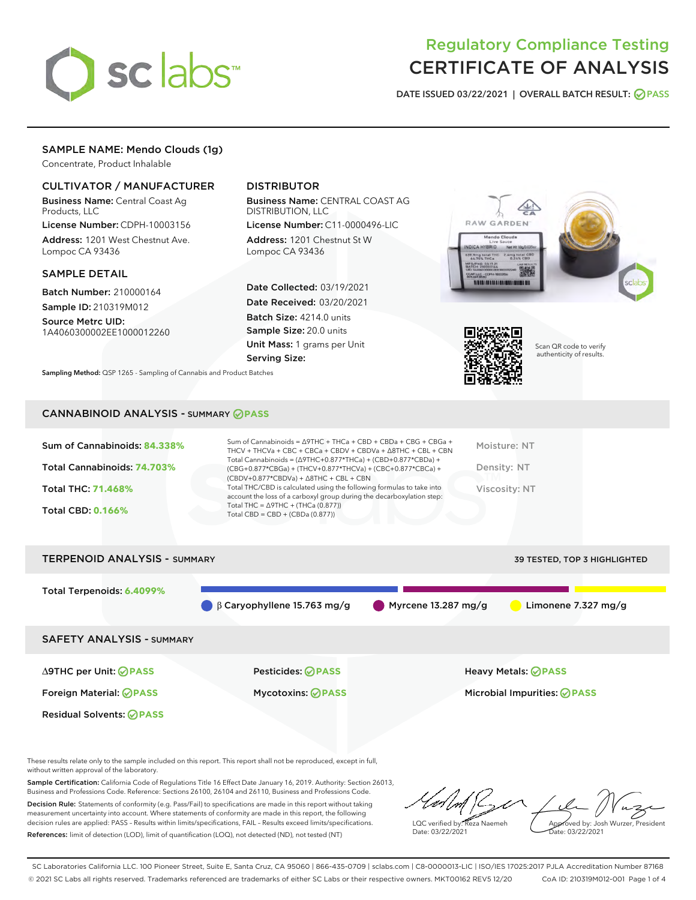

# Regulatory Compliance Testing CERTIFICATE OF ANALYSIS

DATE ISSUED 03/22/2021 | OVERALL BATCH RESULT: @ PASS

## SAMPLE NAME: Mendo Clouds (1g)

Concentrate, Product Inhalable

## CULTIVATOR / MANUFACTURER

Business Name: Central Coast Ag Products, LLC

License Number: CDPH-10003156 Address: 1201 West Chestnut Ave. Lompoc CA 93436

#### SAMPLE DETAIL

Batch Number: 210000164 Sample ID: 210319M012

Source Metrc UID: 1A4060300002EE1000012260

# DISTRIBUTOR

Business Name: CENTRAL COAST AG DISTRIBUTION, LLC

License Number: C11-0000496-LIC Address: 1201 Chestnut St W Lompoc CA 93436

Date Collected: 03/19/2021 Date Received: 03/20/2021 Batch Size: 4214.0 units Sample Size: 20.0 units Unit Mass: 1 grams per Unit Serving Size:

Sampling Method: QSP 1265 - Sampling of Cannabis and Product Batches





Scan QR code to verify authenticity of results.

#### CANNABINOID ANALYSIS - SUMMARY **PASS**

| Sum of Cannabinoids: 84.338% | Sum of Cannabinoids = $\triangle$ 9THC + THCa + CBD + CBDa + CBG + CBGa +<br>THCV + THCVa + CBC + CBCa + CBDV + CBDVa + $\triangle$ 8THC + CBL + CBN                                 | Moisture: NT  |
|------------------------------|--------------------------------------------------------------------------------------------------------------------------------------------------------------------------------------|---------------|
| Total Cannabinoids: 74.703%  | Total Cannabinoids = $(\Delta$ 9THC+0.877*THCa) + (CBD+0.877*CBDa) +<br>(CBG+0.877*CBGa) + (THCV+0.877*THCVa) + (CBC+0.877*CBCa) +<br>$(CBDV+0.877*CBDVa) + \Delta 8THC + CBL + CBN$ | Density: NT   |
| Total THC: 71.468%           | Total THC/CBD is calculated using the following formulas to take into<br>account the loss of a carboxyl group during the decarboxylation step:                                       | Viscosity: NT |
| <b>Total CBD: 0.166%</b>     | Total THC = $\triangle$ 9THC + (THCa (0.877))<br>Total CBD = $CBD + (CBDa (0.877))$                                                                                                  |               |
|                              |                                                                                                                                                                                      |               |



These results relate only to the sample included on this report. This report shall not be reproduced, except in full, without written approval of the laboratory.

Sample Certification: California Code of Regulations Title 16 Effect Date January 16, 2019. Authority: Section 26013, Business and Professions Code. Reference: Sections 26100, 26104 and 26110, Business and Professions Code. Decision Rule: Statements of conformity (e.g. Pass/Fail) to specifications are made in this report without taking

measurement uncertainty into account. Where statements of conformity are made in this report, the following decision rules are applied: PASS – Results within limits/specifications, FAIL – Results exceed limits/specifications. References: limit of detection (LOD), limit of quantification (LOQ), not detected (ND), not tested (NT)

LQC verified by: Reza Naemeh Date: 03/22/2021 Approved by: Josh Wurzer, President ate: 03/22/2021

SC Laboratories California LLC. 100 Pioneer Street, Suite E, Santa Cruz, CA 95060 | 866-435-0709 | sclabs.com | C8-0000013-LIC | ISO/IES 17025:2017 PJLA Accreditation Number 87168 © 2021 SC Labs all rights reserved. Trademarks referenced are trademarks of either SC Labs or their respective owners. MKT00162 REV5 12/20 CoA ID: 210319M012-001 Page 1 of 4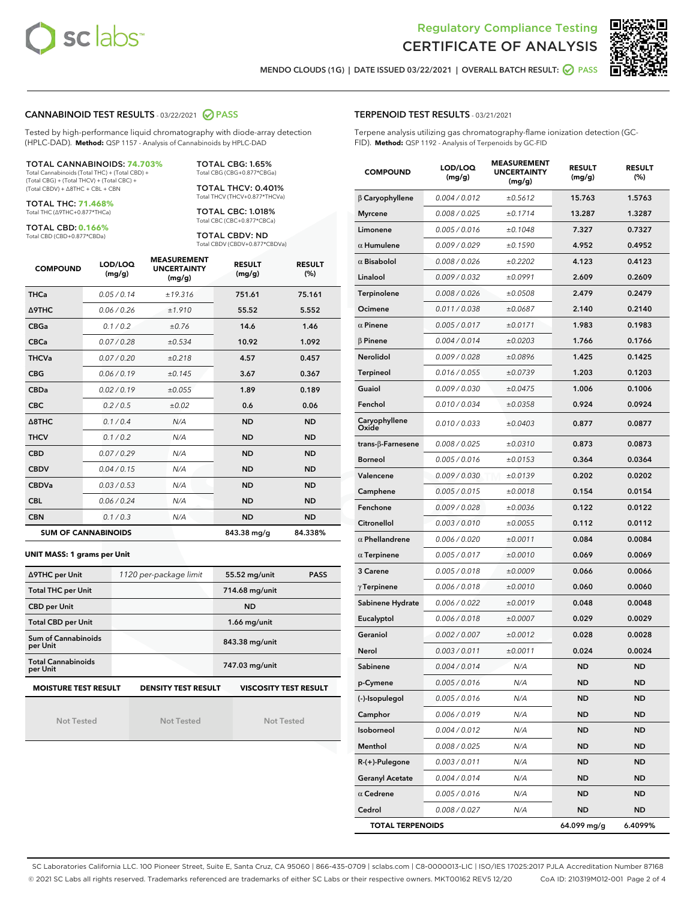



MENDO CLOUDS (1G) | DATE ISSUED 03/22/2021 | OVERALL BATCH RESULT: ○ PASS

#### CANNABINOID TEST RESULTS - 03/22/2021 2 PASS

Tested by high-performance liquid chromatography with diode-array detection (HPLC-DAD). **Method:** QSP 1157 - Analysis of Cannabinoids by HPLC-DAD

#### TOTAL CANNABINOIDS: **74.703%**

Total Cannabinoids (Total THC) + (Total CBD) + (Total CBG) + (Total THCV) + (Total CBC) + (Total CBDV) + ∆8THC + CBL + CBN

TOTAL THC: **71.468%** Total THC (∆9THC+0.877\*THCa)

TOTAL CBD: **0.166%**

Total CBD (CBD+0.877\*CBDa)

TOTAL CBG: 1.65% Total CBG (CBG+0.877\*CBGa)

TOTAL THCV: 0.401% Total THCV (THCV+0.877\*THCVa)

TOTAL CBC: 1.018% Total CBC (CBC+0.877\*CBCa)

TOTAL CBDV: ND Total CBDV (CBDV+0.877\*CBDVa)

| <b>COMPOUND</b>  | LOD/LOQ<br>(mg/g)          | <b>MEASUREMENT</b><br><b>UNCERTAINTY</b><br>(mg/g) | <b>RESULT</b><br>(mg/g) | <b>RESULT</b><br>(%) |
|------------------|----------------------------|----------------------------------------------------|-------------------------|----------------------|
| <b>THCa</b>      | 0.05/0.14                  | ±19.316                                            | 751.61                  | 75.161               |
| <b>A9THC</b>     | 0.06 / 0.26                | ±1.910                                             | 55.52                   | 5.552                |
| <b>CBGa</b>      | 0.1/0.2                    | ±0.76                                              | 14.6                    | 1.46                 |
| <b>CBCa</b>      | 0.07 / 0.28                | ±0.534                                             | 10.92                   | 1.092                |
| <b>THCVa</b>     | 0.07/0.20                  | ±0.218                                             | 4.57                    | 0.457                |
| <b>CBG</b>       | 0.06/0.19                  | ±0.145                                             | 3.67                    | 0.367                |
| <b>CBDa</b>      | 0.02/0.19                  | ±0.055                                             | 1.89                    | 0.189                |
| <b>CBC</b>       | 0.2 / 0.5                  | ±0.02                                              | 0.6                     | 0.06                 |
| $\triangle$ 8THC | 0.1/0.4                    | N/A                                                | <b>ND</b>               | <b>ND</b>            |
| <b>THCV</b>      | 0.1/0.2                    | N/A                                                | <b>ND</b>               | <b>ND</b>            |
| <b>CBD</b>       | 0.07/0.29                  | N/A                                                | <b>ND</b>               | <b>ND</b>            |
| <b>CBDV</b>      | 0.04 / 0.15                | N/A                                                | <b>ND</b>               | <b>ND</b>            |
| <b>CBDVa</b>     | 0.03 / 0.53                | N/A                                                | <b>ND</b>               | <b>ND</b>            |
| <b>CBL</b>       | 0.06 / 0.24                | N/A                                                | <b>ND</b>               | <b>ND</b>            |
| <b>CBN</b>       | 0.1/0.3                    | N/A                                                | <b>ND</b>               | <b>ND</b>            |
|                  | <b>SUM OF CANNABINOIDS</b> |                                                    | 843.38 mg/g             | 84.338%              |

#### **UNIT MASS: 1 grams per Unit**

| ∆9THC per Unit                         | 1120 per-package limit     | 55.52 mg/unit<br><b>PASS</b> |  |
|----------------------------------------|----------------------------|------------------------------|--|
| <b>Total THC per Unit</b>              |                            | 714.68 mg/unit               |  |
| <b>CBD per Unit</b>                    |                            | <b>ND</b>                    |  |
| <b>Total CBD per Unit</b>              |                            | $1.66$ mg/unit               |  |
| <b>Sum of Cannabinoids</b><br>per Unit |                            | 843.38 mg/unit               |  |
| <b>Total Cannabinoids</b><br>per Unit  |                            | 747.03 mg/unit               |  |
| <b>MOISTURE TEST RESULT</b>            | <b>DENSITY TEST RESULT</b> | <b>VISCOSITY TEST RESULT</b> |  |

Not Tested

**MOISTURE TEST RESULT**

Not Tested

Not Tested

#### TERPENOID TEST RESULTS - 03/21/2021

Terpene analysis utilizing gas chromatography-flame ionization detection (GC-FID). **Method:** QSP 1192 - Analysis of Terpenoids by GC-FID

| <b>COMPOUND</b>          | LOD/LOQ<br>(mg/g) | <b>MEASUREMENT</b><br><b>UNCERTAINTY</b><br>(mg/g) | <b>RESULT</b><br>(mg/g) | <b>RESULT</b><br>$(\%)$ |
|--------------------------|-------------------|----------------------------------------------------|-------------------------|-------------------------|
| $\beta$ Caryophyllene    | 0.004 / 0.012     | ±0.5612                                            | 15.763                  | 1.5763                  |
| <b>Myrcene</b>           | 0.008 / 0.025     | ±0.1714                                            | 13.287                  | 1.3287                  |
| Limonene                 | 0.005 / 0.016     | ±0.1048                                            | 7.327                   | 0.7327                  |
| $\alpha$ Humulene        | 0.009 / 0.029     | ±0.1590                                            | 4.952                   | 0.4952                  |
| $\alpha$ Bisabolol       | 0.008 / 0.026     | ±0.2202                                            | 4.123                   | 0.4123                  |
| Linalool                 | 0.009 / 0.032     | ±0.0991                                            | 2.609                   | 0.2609                  |
| Terpinolene              | 0.008 / 0.026     | ±0.0508                                            | 2.479                   | 0.2479                  |
| Ocimene                  | 0.011 / 0.038     | ±0.0687                                            | 2.140                   | 0.2140                  |
| $\alpha$ Pinene          | 0.005 / 0.017     | ±0.0171                                            | 1.983                   | 0.1983                  |
| $\beta$ Pinene           | 0.004 / 0.014     | ±0.0203                                            | 1.766                   | 0.1766                  |
| Nerolidol                | 0.009 / 0.028     | ±0.0896                                            | 1.425                   | 0.1425                  |
| <b>Terpineol</b>         | 0.016 / 0.055     | ±0.0739                                            | 1.203                   | 0.1203                  |
| Guaiol                   | 0.009 / 0.030     | ±0.0475                                            | 1.006                   | 0.1006                  |
| Fenchol                  | 0.010 / 0.034     | ±0.0358                                            | 0.924                   | 0.0924                  |
| Caryophyllene<br>Oxide   | 0.010 / 0.033     | ±0.0403                                            | 0.877                   | 0.0877                  |
| $trans-\beta$ -Farnesene | 0.008 / 0.025     | ±0.0310                                            | 0.873                   | 0.0873                  |
| <b>Borneol</b>           | 0.005 / 0.016     | ±0.0153                                            | 0.364                   | 0.0364                  |
| Valencene                | 0.009 / 0.030     | ±0.0139                                            | 0.202                   | 0.0202                  |
| Camphene                 | 0.005 / 0.015     | ±0.0018                                            | 0.154                   | 0.0154                  |
| Fenchone                 | 0.009 / 0.028     | ±0.0036                                            | 0.122                   | 0.0122                  |
| Citronellol              | 0.003 / 0.010     | ±0.0055                                            | 0.112                   | 0.0112                  |
| $\alpha$ Phellandrene    | 0.006 / 0.020     | ±0.0011                                            | 0.084                   | 0.0084                  |
| $\alpha$ Terpinene       | 0.005 / 0.017     | ±0.0010                                            | 0.069                   | 0.0069                  |
| 3 Carene                 | 0.005 / 0.018     | ±0.0009                                            | 0.066                   | 0.0066                  |
| $\gamma$ Terpinene       | 0.006 / 0.018     | ±0.0010                                            | 0.060                   | 0.0060                  |
| Sabinene Hydrate         | 0.006 / 0.022     | ±0.0019                                            | 0.048                   | 0.0048                  |
| Eucalyptol               | 0.006 / 0.018     | ±0.0007                                            | 0.029                   | 0.0029                  |
| Geraniol                 | 0.002 / 0.007     | ±0.0012                                            | 0.028                   | 0.0028                  |
| Nerol                    | 0.003 / 0.011     | ±0.0011                                            | 0.024                   | 0.0024                  |
| Sabinene                 | 0.004 / 0.014     | N/A                                                | ND                      | <b>ND</b>               |
| p-Cymene                 | 0.005 / 0.016     | N/A                                                | ND                      | ND                      |
| (-)-Isopulegol           | 0.005 / 0.016     | N/A                                                | ND                      | ND                      |
| Camphor                  | 0.006 / 0.019     | N/A                                                | ND                      | <b>ND</b>               |
| Isoborneol               | 0.004 / 0.012     | N/A                                                | ND                      | <b>ND</b>               |
| Menthol                  | 0.008 / 0.025     | N/A                                                | ND                      | ND                      |
| R-(+)-Pulegone           | 0.003 / 0.011     | N/A                                                | ND                      | ND                      |
| <b>Geranyl Acetate</b>   | 0.004 / 0.014     | N/A                                                | ND                      | ND                      |
| $\alpha$ Cedrene         | 0.005 / 0.016     | N/A                                                | ND                      | ND                      |
| Cedrol                   | 0.008 / 0.027     | N/A                                                | ND                      | ND                      |
| <b>TOTAL TERPENOIDS</b>  |                   |                                                    | 64.099 mg/g             | 6.4099%                 |

SC Laboratories California LLC. 100 Pioneer Street, Suite E, Santa Cruz, CA 95060 | 866-435-0709 | sclabs.com | C8-0000013-LIC | ISO/IES 17025:2017 PJLA Accreditation Number 87168 © 2021 SC Labs all rights reserved. Trademarks referenced are trademarks of either SC Labs or their respective owners. MKT00162 REV5 12/20 CoA ID: 210319M012-001 Page 2 of 4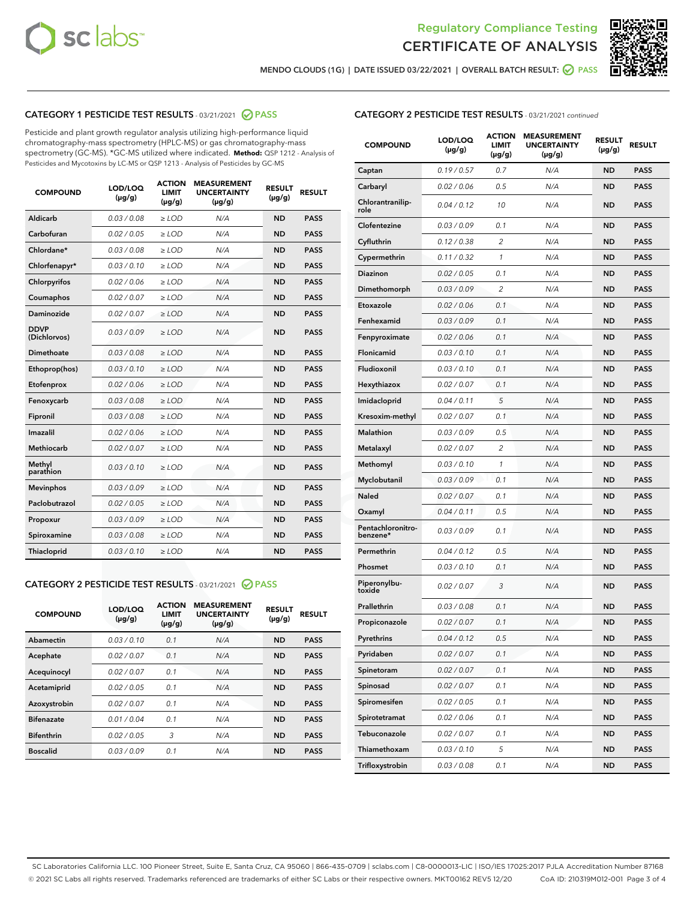



MENDO CLOUDS (1G) | DATE ISSUED 03/22/2021 | OVERALL BATCH RESULT: Ø PASS

## CATEGORY 1 PESTICIDE TEST RESULTS - 03/21/2021 2 PASS

Pesticide and plant growth regulator analysis utilizing high-performance liquid chromatography-mass spectrometry (HPLC-MS) or gas chromatography-mass spectrometry (GC-MS). \*GC-MS utilized where indicated. **Method:** QSP 1212 - Analysis of Pesticides and Mycotoxins by LC-MS or QSP 1213 - Analysis of Pesticides by GC-MS

| <b>COMPOUND</b>             | LOD/LOQ<br>$(\mu g/g)$ | <b>ACTION</b><br><b>LIMIT</b><br>$(\mu g/g)$ | <b>MEASUREMENT</b><br><b>UNCERTAINTY</b><br>$(\mu g/g)$ | <b>RESULT</b><br>$(\mu g/g)$ | <b>RESULT</b> |
|-----------------------------|------------------------|----------------------------------------------|---------------------------------------------------------|------------------------------|---------------|
| Aldicarb                    | 0.03 / 0.08            | $\ge$ LOD                                    | N/A                                                     | <b>ND</b>                    | <b>PASS</b>   |
| Carbofuran                  | 0.02 / 0.05            | $\ge$ LOD                                    | N/A                                                     | <b>ND</b>                    | <b>PASS</b>   |
| Chlordane*                  | 0.03 / 0.08            | $\ge$ LOD                                    | N/A                                                     | <b>ND</b>                    | <b>PASS</b>   |
| Chlorfenapyr*               | 0.03/0.10              | $\ge$ LOD                                    | N/A                                                     | <b>ND</b>                    | <b>PASS</b>   |
| Chlorpyrifos                | 0.02 / 0.06            | $\ge$ LOD                                    | N/A                                                     | <b>ND</b>                    | <b>PASS</b>   |
| Coumaphos                   | 0.02 / 0.07            | $\ge$ LOD                                    | N/A                                                     | <b>ND</b>                    | <b>PASS</b>   |
| Daminozide                  | 0.02 / 0.07            | $\ge$ LOD                                    | N/A                                                     | <b>ND</b>                    | <b>PASS</b>   |
| <b>DDVP</b><br>(Dichlorvos) | 0.03/0.09              | $>$ LOD                                      | N/A                                                     | <b>ND</b>                    | <b>PASS</b>   |
| Dimethoate                  | 0.03/0.08              | $\ge$ LOD                                    | N/A                                                     | <b>ND</b>                    | <b>PASS</b>   |
| Ethoprop(hos)               | 0.03 / 0.10            | $>$ LOD                                      | N/A                                                     | <b>ND</b>                    | <b>PASS</b>   |
| Etofenprox                  | 0.02 / 0.06            | $\ge$ LOD                                    | N/A                                                     | <b>ND</b>                    | <b>PASS</b>   |
| Fenoxycarb                  | 0.03/0.08              | $\ge$ LOD                                    | N/A                                                     | <b>ND</b>                    | <b>PASS</b>   |
| Fipronil                    | 0.03/0.08              | $\ge$ LOD                                    | N/A                                                     | <b>ND</b>                    | <b>PASS</b>   |
| Imazalil                    | 0.02 / 0.06            | $>$ LOD                                      | N/A                                                     | <b>ND</b>                    | <b>PASS</b>   |
| <b>Methiocarb</b>           | 0.02 / 0.07            | $\ge$ LOD                                    | N/A                                                     | <b>ND</b>                    | <b>PASS</b>   |
| Methyl<br>parathion         | 0.03/0.10              | $\ge$ LOD                                    | N/A                                                     | <b>ND</b>                    | <b>PASS</b>   |
| <b>Mevinphos</b>            | 0.03/0.09              | $\ge$ LOD                                    | N/A                                                     | <b>ND</b>                    | <b>PASS</b>   |
| Paclobutrazol               | 0.02 / 0.05            | $>$ LOD                                      | N/A                                                     | <b>ND</b>                    | <b>PASS</b>   |
| Propoxur                    | 0.03/0.09              | $\ge$ LOD                                    | N/A                                                     | <b>ND</b>                    | <b>PASS</b>   |
| Spiroxamine                 | 0.03/0.08              | $\ge$ LOD                                    | N/A                                                     | <b>ND</b>                    | <b>PASS</b>   |
| Thiacloprid                 | 0.03/0.10              | $\ge$ LOD                                    | N/A                                                     | <b>ND</b>                    | <b>PASS</b>   |

## CATEGORY 2 PESTICIDE TEST RESULTS - 03/21/2021 @ PASS

| <b>COMPOUND</b>   | LOD/LOQ<br>$(\mu g/g)$ | <b>ACTION</b><br><b>LIMIT</b><br>$(\mu g/g)$ | <b>MEASUREMENT</b><br><b>UNCERTAINTY</b><br>$(\mu g/g)$ | <b>RESULT</b><br>$(\mu g/g)$ | <b>RESULT</b> |
|-------------------|------------------------|----------------------------------------------|---------------------------------------------------------|------------------------------|---------------|
| Abamectin         | 0.03/0.10              | 0.1                                          | N/A                                                     | <b>ND</b>                    | <b>PASS</b>   |
| Acephate          | 0.02/0.07              | 0.1                                          | N/A                                                     | <b>ND</b>                    | <b>PASS</b>   |
| Acequinocyl       | 0.02/0.07              | 0.1                                          | N/A                                                     | <b>ND</b>                    | <b>PASS</b>   |
| Acetamiprid       | 0.02/0.05              | 0.1                                          | N/A                                                     | <b>ND</b>                    | <b>PASS</b>   |
| Azoxystrobin      | 0.02/0.07              | 0.1                                          | N/A                                                     | <b>ND</b>                    | <b>PASS</b>   |
| <b>Bifenazate</b> | 0.01/0.04              | 0.1                                          | N/A                                                     | <b>ND</b>                    | <b>PASS</b>   |
| <b>Bifenthrin</b> | 0.02/0.05              | 3                                            | N/A                                                     | <b>ND</b>                    | <b>PASS</b>   |
| <b>Boscalid</b>   | 0.03/0.09              | 0.1                                          | N/A                                                     | <b>ND</b>                    | <b>PASS</b>   |

## CATEGORY 2 PESTICIDE TEST RESULTS - 03/21/2021 continued

| <b>COMPOUND</b>               | LOD/LOQ<br>(µg/g) | <b>ACTION</b><br>LIMIT<br>$(\mu g/g)$ | <b>MEASUREMENT</b><br><b>UNCERTAINTY</b><br>$(\mu g/g)$ | <b>RESULT</b><br>(µg/g) | <b>RESULT</b> |
|-------------------------------|-------------------|---------------------------------------|---------------------------------------------------------|-------------------------|---------------|
| Captan                        | 0.19/0.57         | 0.7                                   | N/A                                                     | <b>ND</b>               | <b>PASS</b>   |
| Carbaryl                      | 0.02 / 0.06       | 0.5                                   | N/A                                                     | <b>ND</b>               | <b>PASS</b>   |
| Chlorantranilip-<br>role      | 0.04 / 0.12       | 10                                    | N/A                                                     | <b>ND</b>               | <b>PASS</b>   |
| Clofentezine                  | 0.03 / 0.09       | 0.1                                   | N/A                                                     | <b>ND</b>               | <b>PASS</b>   |
| Cyfluthrin                    | 0.12 / 0.38       | $\overline{2}$                        | N/A                                                     | <b>ND</b>               | <b>PASS</b>   |
| Cypermethrin                  | 0.11 / 0.32       | 1                                     | N/A                                                     | <b>ND</b>               | <b>PASS</b>   |
| <b>Diazinon</b>               | 0.02 / 0.05       | 0.1                                   | N/A                                                     | <b>ND</b>               | <b>PASS</b>   |
| Dimethomorph                  | 0.03 / 0.09       | 2                                     | N/A                                                     | <b>ND</b>               | <b>PASS</b>   |
| Etoxazole                     | 0.02 / 0.06       | 0.1                                   | N/A                                                     | <b>ND</b>               | <b>PASS</b>   |
| Fenhexamid                    | 0.03 / 0.09       | 0.1                                   | N/A                                                     | <b>ND</b>               | <b>PASS</b>   |
| Fenpyroximate                 | 0.02 / 0.06       | 0.1                                   | N/A                                                     | <b>ND</b>               | <b>PASS</b>   |
| Flonicamid                    | 0.03 / 0.10       | 0.1                                   | N/A                                                     | <b>ND</b>               | <b>PASS</b>   |
| Fludioxonil                   | 0.03 / 0.10       | 0.1                                   | N/A                                                     | <b>ND</b>               | <b>PASS</b>   |
| Hexythiazox                   | 0.02 / 0.07       | 0.1                                   | N/A                                                     | <b>ND</b>               | <b>PASS</b>   |
| Imidacloprid                  | 0.04 / 0.11       | 5                                     | N/A                                                     | <b>ND</b>               | <b>PASS</b>   |
| Kresoxim-methyl               | 0.02 / 0.07       | 0.1                                   | N/A                                                     | <b>ND</b>               | <b>PASS</b>   |
| Malathion                     | 0.03 / 0.09       | 0.5                                   | N/A                                                     | <b>ND</b>               | <b>PASS</b>   |
| Metalaxyl                     | 0.02 / 0.07       | 2                                     | N/A                                                     | <b>ND</b>               | <b>PASS</b>   |
| Methomyl                      | 0.03 / 0.10       | 1                                     | N/A                                                     | <b>ND</b>               | <b>PASS</b>   |
| Myclobutanil                  | 0.03 / 0.09       | 0.1                                   | N/A                                                     | <b>ND</b>               | <b>PASS</b>   |
| Naled                         | 0.02 / 0.07       | 0.1                                   | N/A                                                     | <b>ND</b>               | <b>PASS</b>   |
| Oxamyl                        | 0.04 / 0.11       | 0.5                                   | N/A                                                     | <b>ND</b>               | <b>PASS</b>   |
| Pentachloronitro-<br>benzene* | 0.03 / 0.09       | 0.1                                   | N/A                                                     | <b>ND</b>               | <b>PASS</b>   |
| Permethrin                    | 0.04 / 0.12       | 0.5                                   | N/A                                                     | <b>ND</b>               | <b>PASS</b>   |
| Phosmet                       | 0.03/0.10         | 0.1                                   | N/A                                                     | <b>ND</b>               | <b>PASS</b>   |
| Piperonylbu-<br>toxide        | 0.02 / 0.07       | 3                                     | N/A                                                     | <b>ND</b>               | <b>PASS</b>   |
| Prallethrin                   | 0.03 / 0.08       | 0.1                                   | N/A                                                     | <b>ND</b>               | <b>PASS</b>   |
| Propiconazole                 | 0.02 / 0.07       | 0.1                                   | N/A                                                     | <b>ND</b>               | <b>PASS</b>   |
| Pyrethrins                    | 0.04 / 0.12       | 0.5                                   | N/A                                                     | ND                      | PASS          |
| Pyridaben                     | 0.02 / 0.07       | 0.1                                   | N/A                                                     | <b>ND</b>               | <b>PASS</b>   |
| Spinetoram                    | 0.02 / 0.07       | 0.1                                   | N/A                                                     | <b>ND</b>               | <b>PASS</b>   |
| Spinosad                      | 0.02 / 0.07       | 0.1                                   | N/A                                                     | <b>ND</b>               | <b>PASS</b>   |
| Spiromesifen                  | 0.02 / 0.05       | 0.1                                   | N/A                                                     | <b>ND</b>               | <b>PASS</b>   |
| Spirotetramat                 | 0.02 / 0.06       | 0.1                                   | N/A                                                     | <b>ND</b>               | <b>PASS</b>   |
| Tebuconazole                  | 0.02 / 0.07       | 0.1                                   | N/A                                                     | <b>ND</b>               | <b>PASS</b>   |
| Thiamethoxam                  | 0.03 / 0.10       | 5                                     | N/A                                                     | <b>ND</b>               | <b>PASS</b>   |
| Trifloxystrobin               | 0.03 / 0.08       | 0.1                                   | N/A                                                     | <b>ND</b>               | <b>PASS</b>   |